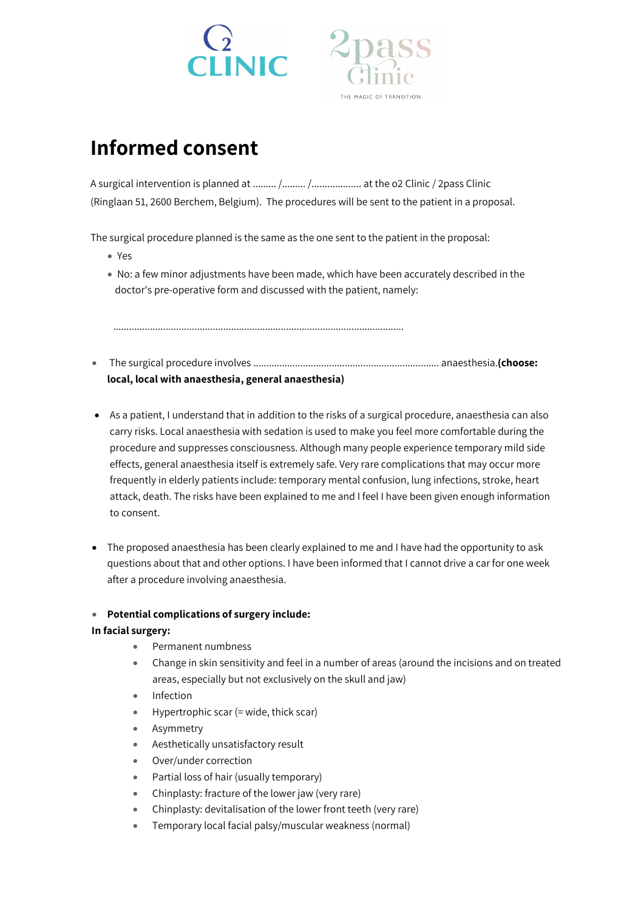



# **Informed consent**

A surgical intervention is planned at ......... /......... /................... at the o2 Clinic / 2pass Clinic (Ringlaan 51, 2600 Berchem, Belgium). The procedures will be sent to the patient in a proposal.

The surgical procedure planned is the same as the one sent to the patient in the proposal:

- Yes
- No: a few minor adjustments have been made, which have been accurately described in the doctor's pre-operative form and discussed with the patient, namely:

...............................................................................................................

- The surgical procedure involves ....................................................................... anaesthesia.**(choose: local, local with anaesthesia, general anaesthesia)**
- As a patient, I understand that in addition to the risks of a surgical procedure, anaesthesia can also carry risks. Local anaesthesia with sedation is used to make you feel more comfortable during the procedure and suppresses consciousness. Although many people experience temporary mild side effects, general anaesthesia itself is extremely safe. Very rare complications that may occur more frequently in elderly patients include: temporary mental confusion, lung infections, stroke, heart attack, death. The risks have been explained to me and I feel I have been given enough information to consent.
- The proposed anaesthesia has been clearly explained to me and I have had the opportunity to ask questions about that and other options. I have been informed that I cannot drive a car for one week after a procedure involving anaesthesia.

## • **Potential complications of surgery include:**

## **In facial surgery:**

- Permanent numbness
- Change in skin sensitivity and feel in a number of areas (around the incisions and on treated areas, especially but not exclusively on the skull and jaw)
- Infection
- Hypertrophic scar (= wide, thick scar)
- **Asymmetry**
- Aesthetically unsatisfactory result
- Over/under correction
- Partial loss of hair (usually temporary)
- Chinplasty: fracture of the lower jaw (very rare)
- Chinplasty: devitalisation of the lower front teeth (very rare)
- Temporary local facial palsy/muscular weakness (normal)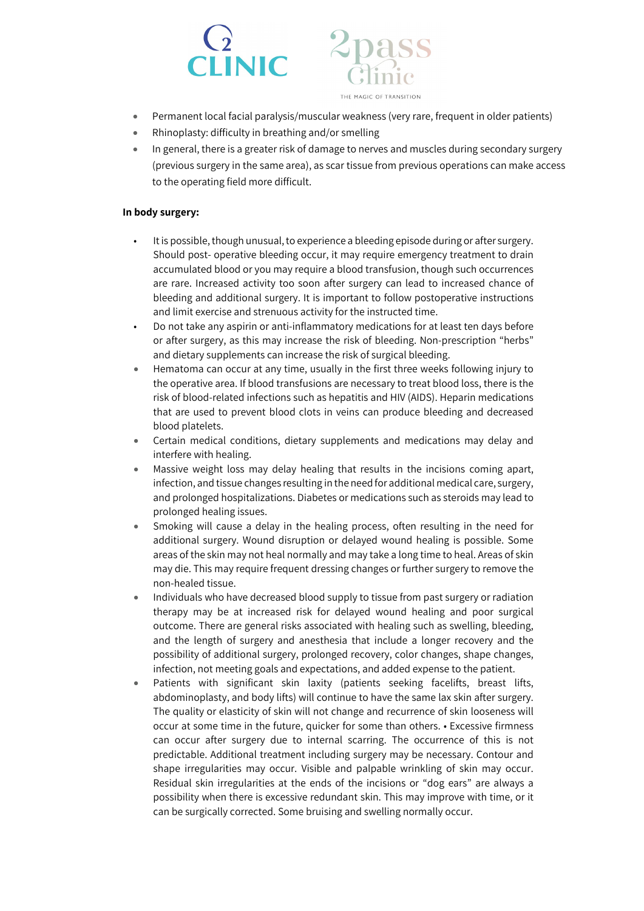



- Permanent local facial paralysis/muscular weakness (very rare, frequent in older patients)
- Rhinoplasty: difficulty in breathing and/or smelling
- In general, there is a greater risk of damage to nerves and muscles during secondary surgery (previous surgery in the same area), as scar tissue from previous operations can make access to the operating field more difficult.

## **In body surgery:**

- It is possible, though unusual, to experience a bleeding episode during or after surgery. Should post- operative bleeding occur, it may require emergency treatment to drain accumulated blood or you may require a blood transfusion, though such occurrences are rare. Increased activity too soon after surgery can lead to increased chance of bleeding and additional surgery. It is important to follow postoperative instructions and limit exercise and strenuous activity for the instructed time.
- Do not take any aspirin or anti-inflammatory medications for at least ten days before or after surgery, as this may increase the risk of bleeding. Non-prescription "herbs" and dietary supplements can increase the risk of surgical bleeding.
- Hematoma can occur at any time, usually in the first three weeks following injury to the operative area. If blood transfusions are necessary to treat blood loss, there is the risk of blood-related infections such as hepatitis and HIV (AIDS). Heparin medications that are used to prevent blood clots in veins can produce bleeding and decreased blood platelets.
- Certain medical conditions, dietary supplements and medications may delay and interfere with healing.
- Massive weight loss may delay healing that results in the incisions coming apart, infection, and tissue changes resulting in the need for additional medical care, surgery, and prolonged hospitalizations. Diabetes or medications such as steroids may lead to prolonged healing issues.
- Smoking will cause a delay in the healing process, often resulting in the need for additional surgery. Wound disruption or delayed wound healing is possible. Some areas of the skin may not heal normally and may take a long time to heal. Areas of skin may die. This may require frequent dressing changes or further surgery to remove the non-healed tissue.
- Individuals who have decreased blood supply to tissue from past surgery or radiation therapy may be at increased risk for delayed wound healing and poor surgical outcome. There are general risks associated with healing such as swelling, bleeding, and the length of surgery and anesthesia that include a longer recovery and the possibility of additional surgery, prolonged recovery, color changes, shape changes, infection, not meeting goals and expectations, and added expense to the patient.
- Patients with significant skin laxity (patients seeking facelifts, breast lifts, abdominoplasty, and body lifts) will continue to have the same lax skin after surgery. The quality or elasticity of skin will not change and recurrence of skin looseness will occur at some time in the future, quicker for some than others. • Excessive firmness can occur after surgery due to internal scarring. The occurrence of this is not predictable. Additional treatment including surgery may be necessary. Contour and shape irregularities may occur. Visible and palpable wrinkling of skin may occur. Residual skin irregularities at the ends of the incisions or "dog ears" are always a possibility when there is excessive redundant skin. This may improve with time, or it can be surgically corrected. Some bruising and swelling normally occur.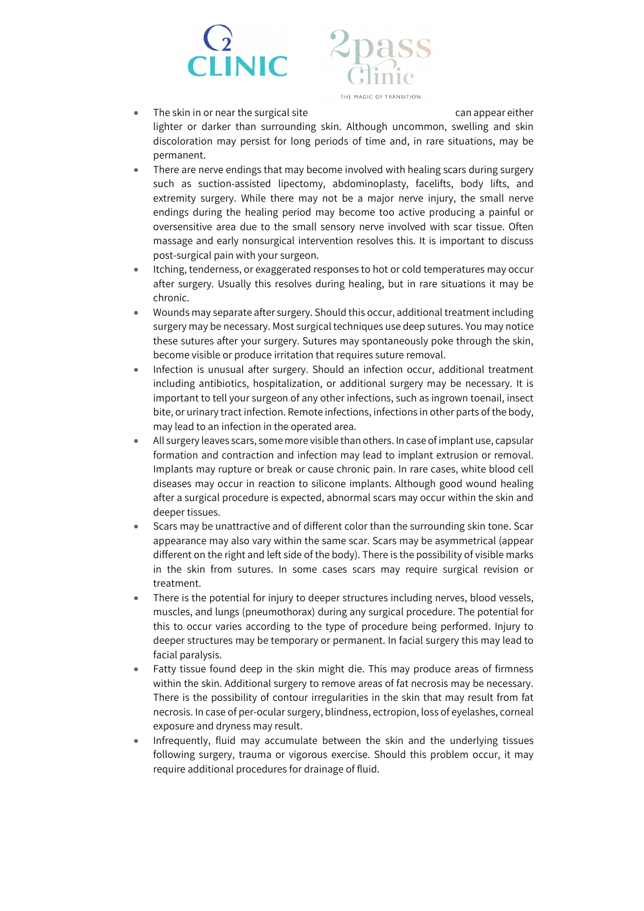



The skin in or near the surgical site can appear either lighter or darker than surrounding skin. Although uncommon, swelling and skin discoloration may persist for long periods of time and, in rare situations, may be permanent.

- There are nerve endings that may become involved with healing scars during surgery such as suction-assisted lipectomy, abdominoplasty, facelifts, body lifts, and extremity surgery. While there may not be a major nerve injury, the small nerve endings during the healing period may become too active producing a painful or oversensitive area due to the small sensory nerve involved with scar tissue. Often massage and early nonsurgical intervention resolves this. It is important to discuss post-surgical pain with your surgeon.
- Itching, tenderness, or exaggerated responses to hot or cold temperatures may occur after surgery. Usually this resolves during healing, but in rare situations it may be chronic.
- Wounds may separate after surgery. Should this occur, additional treatment including surgery may be necessary. Most surgical techniques use deep sutures. You may notice these sutures after your surgery. Sutures may spontaneously poke through the skin, become visible or produce irritation that requires suture removal.
- Infection is unusual after surgery. Should an infection occur, additional treatment including antibiotics, hospitalization, or additional surgery may be necessary. It is important to tell your surgeon of any other infections, such as ingrown toenail, insect bite, or urinary tract infection. Remote infections, infections in other parts of the body, may lead to an infection in the operated area.
- All surgery leaves scars, some more visible than others. In case of implant use, capsular formation and contraction and infection may lead to implant extrusion or removal. Implants may rupture or break or cause chronic pain. In rare cases, white blood cell diseases may occur in reaction to silicone implants. Although good wound healing after a surgical procedure is expected, abnormal scars may occur within the skin and deeper tissues.
- Scars may be unattractive and of different color than the surrounding skin tone. Scar appearance may also vary within the same scar. Scars may be asymmetrical (appear different on the right and left side of the body). There is the possibility of visible marks in the skin from sutures. In some cases scars may require surgical revision or treatment.
- There is the potential for injury to deeper structures including nerves, blood vessels, muscles, and lungs (pneumothorax) during any surgical procedure. The potential for this to occur varies according to the type of procedure being performed. Injury to deeper structures may be temporary or permanent. In facial surgery this may lead to facial paralysis.
- Fatty tissue found deep in the skin might die. This may produce areas of firmness within the skin. Additional surgery to remove areas of fat necrosis may be necessary. There is the possibility of contour irregularities in the skin that may result from fat necrosis. In case of per-ocular surgery, blindness, ectropion, loss of eyelashes, corneal exposure and dryness may result.
- Infrequently, fluid may accumulate between the skin and the underlying tissues following surgery, trauma or vigorous exercise. Should this problem occur, it may require additional procedures for drainage of fluid.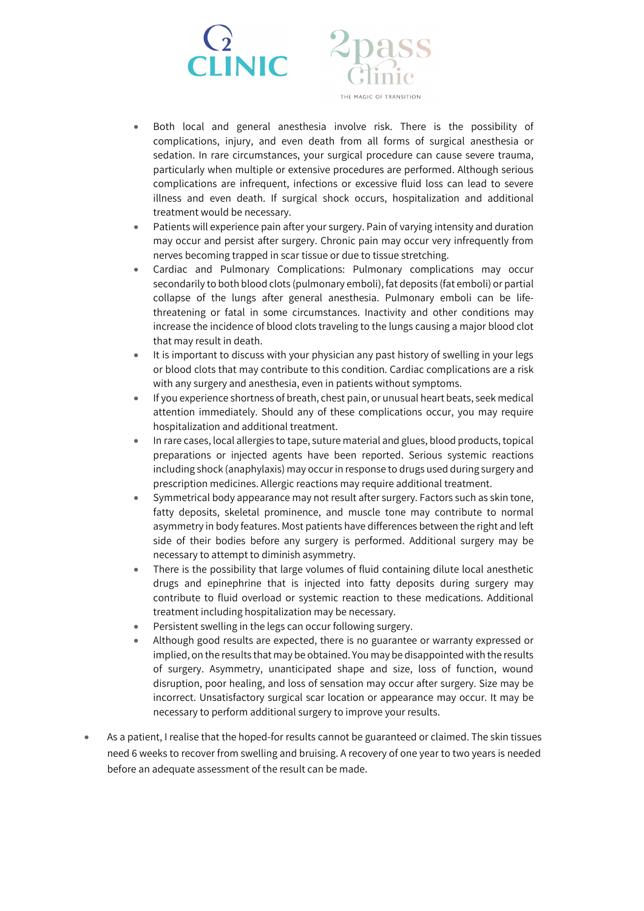

- Both local and general anesthesia involve risk. There is the possibility of complications, injury, and even death from all forms of surgical anesthesia or sedation. In rare circumstances, your surgical procedure can cause severe trauma, particularly when multiple or extensive procedures are performed. Although serious complications are infrequent, infections or excessive fluid loss can lead to severe illness and even death. If surgical shock occurs, hospitalization and additional treatment would be necessary.
- Patients will experience pain after your surgery. Pain of varying intensity and duration may occur and persist after surgery. Chronic pain may occur very infrequently from nerves becoming trapped in scar tissue or due to tissue stretching.
- Cardiac and Pulmonary Complications: Pulmonary complications may occur secondarily to both blood clots (pulmonary emboli), fat deposits (fat emboli) or partial collapse of the lungs after general anesthesia. Pulmonary emboli can be lifethreatening or fatal in some circumstances. Inactivity and other conditions may increase the incidence of blood clots traveling to the lungs causing a major blood clot that may result in death.
- It is important to discuss with your physician any past history of swelling in your legs or blood clots that may contribute to this condition. Cardiac complications are a risk with any surgery and anesthesia, even in patients without symptoms.
- If you experience shortness of breath, chest pain, or unusual heart beats, seek medical attention immediately. Should any of these complications occur, you may require hospitalization and additional treatment.
- In rare cases, local allergies to tape, suture material and glues, blood products, topical preparations or injected agents have been reported. Serious systemic reactions including shock (anaphylaxis) may occur in response to drugs used during surgery and prescription medicines. Allergic reactions may require additional treatment.
- Symmetrical body appearance may not result after surgery. Factors such as skin tone, fatty deposits, skeletal prominence, and muscle tone may contribute to normal asymmetry in body features. Most patients have differences between the right and left side of their bodies before any surgery is performed. Additional surgery may be necessary to attempt to diminish asymmetry.
- There is the possibility that large volumes of fluid containing dilute local anesthetic drugs and epinephrine that is injected into fatty deposits during surgery may contribute to fluid overload or systemic reaction to these medications. Additional treatment including hospitalization may be necessary.
- Persistent swelling in the legs can occur following surgery.
- Although good results are expected, there is no guarantee or warranty expressed or implied, on the results that may be obtained. You may be disappointed with the results of surgery. Asymmetry, unanticipated shape and size, loss of function, wound disruption, poor healing, and loss of sensation may occur after surgery. Size may be incorrect. Unsatisfactory surgical scar location or appearance may occur. It may be necessary to perform additional surgery to improve your results.
- As a patient, I realise that the hoped-for results cannot be guaranteed or claimed. The skin tissues need 6 weeks to recover from swelling and bruising. A recovery of one year to two years is needed before an adequate assessment of the result can be made.